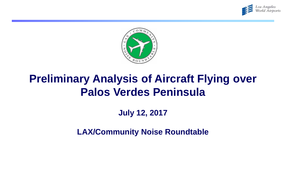



# **Preliminary Analysis of Aircraft Flying over Palos Verdes Peninsula**

## **July 12, 2017**

**LAX/Community Noise Roundtable**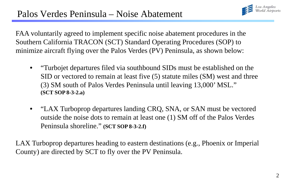

FAA voluntarily agreed to implement specific noise abatement procedures in the Southern California TRACON (SCT) Standard Operating Procedures (SOP) to minimize aircraft flying over the Palos Verdes (PV) Peninsula, as shown below:

- "Turbojet departures filed via southbound SIDs must be established on the SID or vectored to remain at least five (5) statute miles (SM) west and three (3) SM south of Palos Verdes Peninsula until leaving 13,000' MSL." **(SCT SOP 8-3-2.a)**
- "LAX Turboprop departures landing CRQ, SNA, or SAN must be vectored outside the noise dots to remain at least one (1) SM off of the Palos Verdes Peninsula shoreline." **(SCT SOP 8-3-2.f)**

LAX Turboprop departures heading to eastern destinations (e.g., Phoenix or Imperial County) are directed by SCT to fly over the PV Peninsula.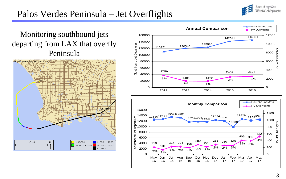

## Palos Verdes Peninsula – Jet Overflights

#### Monitoring southbound jets departing from LAX that overfly Peninsula





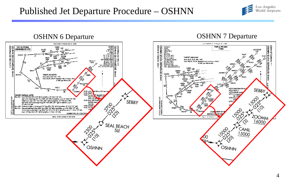## Published Jet Departure Procedure – OSHNN



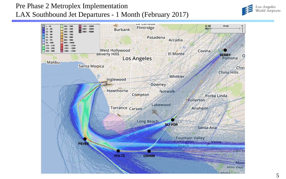#### Pre Phase 2 Metroplex Implementation LAX Southbound Jet Departures - 1 Month (February 2017)



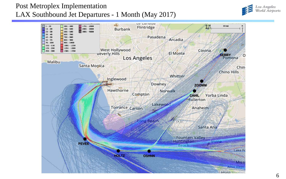#### Post Metroplex Implementation LAX Southbound Jet Departures - 1 Month (May 2017)



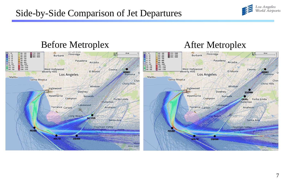## Side-by-Side Comparison of Jet Departures



#### 7

Los Angeles<br>World Airports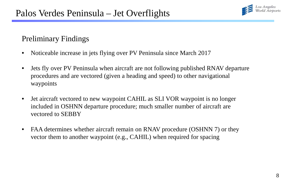

#### Preliminary Findings

- Noticeable increase in jets flying over PV Peninsula since March 2017
- Jets fly over PV Peninsula when aircraft are not following published RNAV departure procedures and are vectored (given a heading and speed) to other navigational waypoints
- Jet aircraft vectored to new waypoint CAHIL as SLI VOR waypoint is no longer included in OSHNN departure procedure; much smaller number of aircraft are vectored to SEBBY
- FAA determines whether aircraft remain on RNAV procedure (OSHNN 7) or they vector them to another waypoint (e.g., CAHIL) when required for spacing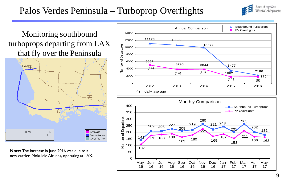## Palos Verdes Peninsula – Turboprop Overflights



Monitoring southbound turboprops departing from LAX that fly over the Peninsula



**Note:** The increase in June 2016 was due to a new carrier, Mokulele Airlines, operating at LAX.



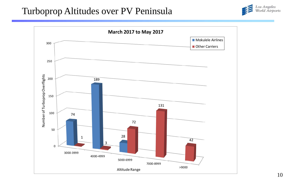## Turboprop Altitudes over PV Peninsula



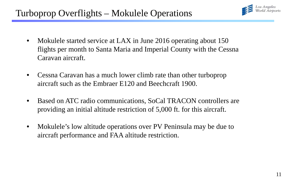

- Mokulele started service at LAX in June 2016 operating about 150 flights per month to Santa Maria and Imperial County with the Cessna Caravan aircraft.
- Cessna Caravan has a much lower climb rate than other turboprop aircraft such as the Embraer E120 and Beechcraft 1900.
- Based on ATC radio communications, SoCal TRACON controllers are providing an initial altitude restriction of 5,000 ft. for this aircraft.
- Mokulele's low altitude operations over PV Peninsula may be due to aircraft performance and FAA altitude restriction.